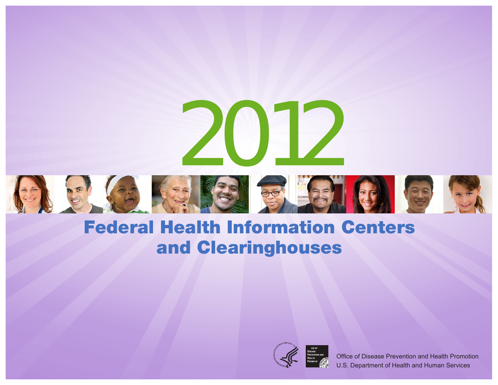



Office of Disease Prevention and Health Promotion U.S. Department of Health and Human Services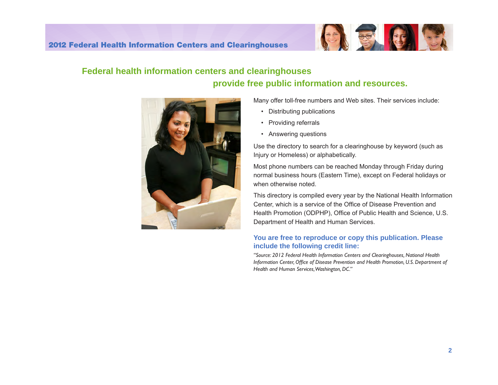

# **Federal health information centers and clearinghouses provide free public information and resources.**



Many offer toll-free numbers and Web sites. Their services include:

- Distributing publications
- Providing referrals
- Answering questions

Use the directory to search for a clearinghouse by keyword (such as Injury or Homeless) or alphabetically.

Most phone numbers can be reached Monday through Friday during normal business hours (Eastern Time), except on Federal holidays or when otherwise noted.

This directory is compiled every year by the National Health Information Center, which is a service of the Office of Disease Prevention and Health Promotion (ODPHP), Office of Public Health and Science, U.S. Department of Health and Human Services.

#### **You are free to reproduce or copy this publication. Please include the following credit line:**

*"Source: 2012 Federal Health Information Centers and Clearinghouses, National Health Information Center, Office of Disease Prevention and Health Promotion, U.S. Department of Health and Human Services,Washington, DC."*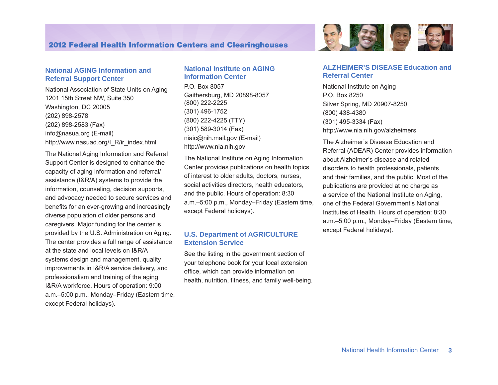#### **National AGING Information and Referral Support Center**

National Association of State Units on Aging 1201 15th Street NW, Suite 350 Washington, DC 20005 (202) 898-2578 (202) 898-2583 (Fax) [info@nasua.org](mailto:info@nasua.org) (E-mail) [http://www.nasua](ttp://www.nasuad.org/I_R/ir_index.html)d.org/I\_R/ir\_index.html

The National Aging Information and Referral Support Center is designed to enhance the capacity of aging information and referral/ assistance (I&R/A) systems to provide the information, counseling, decision supports, and advocacy needed to secure services and benefits for an ever-growing and increasingly diverse population of older persons and caregivers. Major funding for the center is provided by the U.S. Administration on Aging. The center provides a full range of assistance at the state and local levels on I&R/A systems design and management, quality improvements in I&R/A service delivery, and professionalism and training of the aging I&R/A workforce. Hours of operation: 9:00 a.m.–5:00 p.m., Monday–Friday (Eastern time, except Federal holidays).

#### **National Institute on AGING Information Center**

P.O. Box 8057 Gaithersburg, MD 20898-8057 (800) 222-2225 (301) 496-1752 (800) 222-4225 (TTY) (301) 589-3014 (Fax) niaic@nih.mail.gov (E-mail) <http://www.nia.nih.gov>

The National Institute on Aging Information Center provides publications on health topics of interest to older adults, doctors, nurses, social activities directors, health educators, and the public. Hours of operation: 8:30 a.m.–5:00 p.m., Monday–Friday (Eastern time, except Federal holidays).

#### **U.S. Department of AGRICULTURE Extension Service**

See the listing in the government section of your telephone book for your local extension office, which can provide information on health, nutrition, fitness, and family well-being.



#### **ALZHEIMER'S DISEASE Education and Referral Center**

National Institute on Aging P.O. Box 8250 Silver Spring, MD 20907-8250 (800) 438-4380 (301) 495-3334 (Fax) <http://www.nia.nih.gov/alzheimers>

The Alzheimer's Disease Education and Referral (ADEAR) Center provides information about Alzheimer's disease and related disorders to health professionals, patients and their families, and the public. Most of the publications are provided at no charge as a service of the National Institute on Aging, one of the Federal Government's National Institutes of Health. Hours of operation: 8:30 a.m.–5:00 p.m., Monday–Friday (Eastern time, except Federal holidays).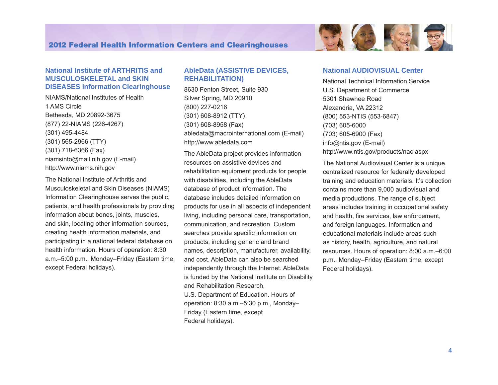

#### **National Institute of ARTHRITIS and MUSCULOSKELETAL and SKIN DISEASES Information Clearinghouse**

NIAMS/National Institutes of Health 1 AMS Circle Bethesda, MD 20892-3675 (877) 22-NIAMS (226-4267) (301) 495-4484 (301) 565-2966 (TTY) (301) 718-6366 (Fax) [niamsinfo@mail.nih.gov](mailto:niamsinfo@mail.nih.gov) (E-mail) <http://www.niams.nih.gov>

The National Institute of Arthritis and Musculoskeletal and Skin Diseases (NIAMS) Information Clearinghouse serves the public, patients, and health professionals by providing information about bones, joints, muscles, and skin, locating other information sources, creating health information materials, and participating in a national federal database on health information. Hours of operation: 8:30 a.m.–5:00 p.m., Monday–Friday (Eastern time, except Federal holidays).

#### **AbleData (ASSISTIVE DEVICES, REHABILITATION)**

8630 Fenton Street, Suite 930 Silver Spring, MD 20910 (800) 227-0216 (301) 608-8912 (TTY) (301) 608-8958 (Fax) [abledata@macrointernational.com](mailto:abledata@macrointernational.com) (E-mail) <http://www.abledata.com>

The AbleData project provides information resources on assistive devices and rehabilitation equipment products for people with disabilities, including the AbleData database of product information. The database includes detailed information on products for use in all aspects of independent living, including personal care, transportation, communication, and recreation. Custom searches provide specific information on products, including generic and brand names, description, manufacturer, availability, and cost. AbleData can also be searched independently through the Internet. AbleData is funded by the National Institute on Disability and Rehabilitation Research, U.S. Department of Education. Hours of operation: 8:30 a.m.–5:30 p.m., Monday– Friday (Eastern time, except Federal holidays).

#### **National AUDIOVISUAL Center**

National Technical Information Service U.S. Department of Commerce 5301 Shawnee Road Alexandria, VA 22312 (800) 553-NTIS (553-6847) (703) 605-6000 (703) 605-6900 (Fax) [info@ntis.gov](mailto:info@ntis.gov) (E-mail) <http://www.ntis.gov/products/nac.aspx>

The National Audiovisual Center is a unique centralized resource for federally developed training and education materials. It's collection contains more than 9,000 audiovisual and media productions. The range of subject areas includes training in occupational safety and health, fire services, law enforcement, and foreign languages. Information and educational materials include areas such as history, health, agriculture, and natural resources. Hours of operation: 8:00 a.m.–6:00 p.m., Monday–Friday (Eastern time, except Federal holidays).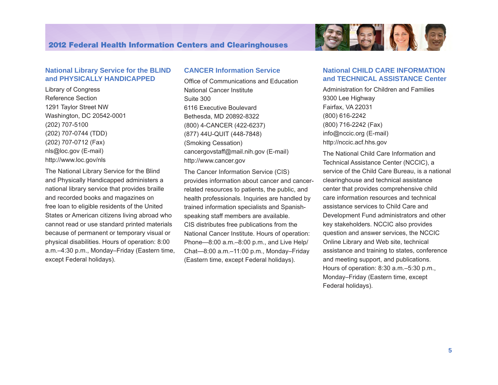

Library of Congress Reference Section 1291 Taylor Street NW Washington, DC 20542-0001 (202) 707-5100 (202) 707-0744 (TDD) (202) 707-0712 (Fax) [nls@loc.gov](mailto:nls@loc.gov) (E-mail) <http://www.loc.gov/nls>

The National Library Service for the Blind and Physically Handicapped administers a national library service that provides braille and recorded books and magazines on free loan to eligible residents of the United States or American citizens living abroad who cannot read or use standard printed materials because of permanent or temporary visual or physical disabilities. Hours of operation: 8:00 a.m.–4:30 p.m., Monday–Friday (Eastern time, except Federal holidays).

#### **CANCER Information Service**

Office of Communications and Education National Cancer Institute Suite 300 6116 Executive Boulevard Bethesda, MD 20892-8322 (800) 4-CANCER (422-6237) (877) 44U-QUIT (448-7848) (Smoking Cessation) [cancergovstaff@mail.nih.gov](mailto:cancergovstaff@mail.nih.gov) (E-mail) <http://www.cancer.gov>

The Cancer Information Service (CIS) provides information about cancer and cancerrelated resources to patients, the public, and health professionals. Inquiries are handled by trained information specialists and Spanishspeaking staff members are available. CIS distributes free publications from the National Cancer Institute. Hours of operation: Phone—8:00 a.m.–8:00 p.m., and Live Help/ Chat—8:00 a.m.–11:00 p.m., Monday–Friday (Eastern time, except Federal holidays).



#### **National CHILD CARE INFORMATION and TECHNICAL ASSISTANCE Center**

Administration for Children and Families 9300 Lee Highway Fairfax, VA 22031 (800) 616-2242 (800) 716-2242 (Fax) [info@nccic.org](mailto:info@nccic.org) (E-mail) <http://nccic.acf.hhs.gov>

The National Child Care Information and Technical Assistance Center (NCCIC), a service of the Child Care Bureau, is a national clearinghouse and technical assistance center that provides comprehensive child care information resources and technical assistance services to Child Care and Development Fund administrators and other key stakeholders. NCCIC also provides question and answer services, the NCCIC Online Library and Web site, technical assistance and training to states, conference and meeting support, and publications. Hours of operation: 8:30 a.m.–5:30 p.m., Monday–Friday (Eastern time, except Federal holidays).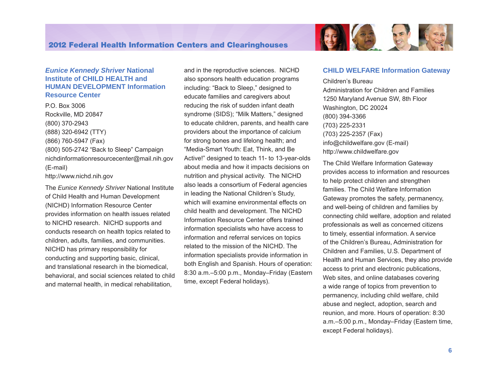#### *Eunice Kennedy Shriver* **National Institute of CHILD HEALTH and HUMAN DEVELOPMENT Information Resource Center**

P.O. Box 3006 Rockville, MD 20847 (800) 370-2943 (888) 320-6942 (TTY) (866) 760-5947 (Fax) (800) 505-2742 "Back to Sleep" Campaign [nichdinformationresourcecenter@mail.nih.gov](mailto:nichdinformationresourcecenter@mail.nih.gov)  (E-mail) <http://www.nichd.nih.gov>

children, adults, families, and communities.<br>NICHD has primary responsibility for The *Eunice Kennedy Shriver* National Institute of Child Health and Human Development (NICHD) Information Resource Center provides information on health issues related to NICHD research. NICHD supports and conducts research on health topics related to conducting and supporting basic, clinical, and translational research in the biomedical, behavioral, and social sciences related to child and maternal health, in medical rehabilitation,

and in the reproductive sciences. NICHD also sponsors health education programs including: "Back to Sleep," designed to educate families and caregivers about reducing the risk of sudden infant death syndrome (SIDS); "Milk Matters," designed to educate children, parents, and health care providers about the importance of calcium for strong bones and lifelong health; and "Media-Smart Youth: Eat, Think, and Be Active!" designed to teach 11- to 13-year-olds about media and how it impacts decisions on nutrition and physical activity. The NICHD also leads a consortium of Federal agencies in leading the National Children's Study, which will examine environmental effects on child health and development. The NICHD Information Resource Center offers trained information specialists who have access to information and referral services on topics related to the mission of the NICHD. The information specialists provide information in both English and Spanish. Hours of operation: 8:30 a.m.–5:00 p.m., Monday–Friday (Eastern time, except Federal holidays).



EN SE EL

Children's Bureau Administration for Children and Families 1250 Maryland Avenue SW, 8th Floor Washington, DC 20024 (800) 394-3366 (703) 225-2331 (703) 225-2357 (Fax) [info@childwelfare.gov](mailto:info@childwelfare.gov) (E-mail) <http://www.childwelfare.gov>

The Child Welfare Information Gateway provides access to information and resources to help protect children and strengthen families. The Child Welfare Information Gateway promotes the safety, permanency, and well-being of children and families by connecting child welfare, adoption and related professionals as well as concerned citizens to timely, essential information. A service of the Children's Bureau, Administration for Children and Families, U.S. Department of Health and Human Services, they also provide access to print and electronic publications, Web sites, and online databases covering a wide range of topics from prevention to permanency, including child welfare, child abuse and neglect, adoption, search and reunion, and more. Hours of operation: 8:30 a.m.–5:00 p.m., Monday–Friday (Eastern time, except Federal holidays).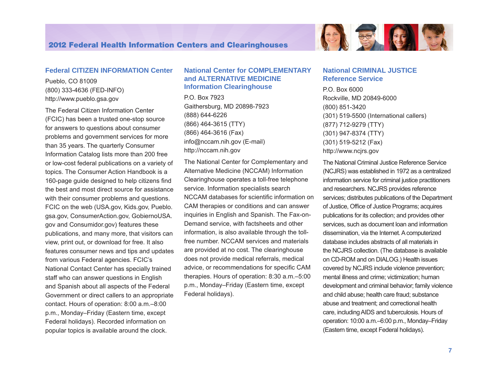

#### **Federal CITIZEN INFORMATION Center**

Pueblo, CO 81009 (800) 333-4636 (FED-INFO) <http://www.pueblo.gsa.gov>

The Federal Citizen Information Center (FCIC) has been a trusted one-stop source for answers to questions about consumer problems and government services for more than 35 years. The quarterly Consumer Information Catalog lists more than 200 free or low-cost federal publications on a variety of topics. The Consumer Action Handbook is a 160-page guide designed to help citizens find the best and most direct source for assistance with their consumer problems and questions. FCIC on the web (USA.gov, Kids.gov, Pueblo. gsa.gov, ConsumerAction.gov, GobiernoUSA. gov and Consumidor.gov) features these publications, and many more, that visitors can view, print out, or download for free. It also features consumer news and tips and updates from various Federal agencies. FCIC's National Contact Center has specially trained staff who can answer questions in English and Spanish about all aspects of the Federal Government or direct callers to an appropriate contact. Hours of operation: 8:00 a.m.–8:00 p.m., Monday–Friday (Eastern time, except Federal holidays). Recorded information on popular topics is available around the clock.

#### **National Center for COMPLEMENTARY and ALTERNATIVE MEDICINE Information Clearinghouse**

P.O. Box 7923 Gaithersburg, MD 20898-7923 (888) 644-6226 (866) 464-3615 (TTY) (866) 464-3616 (Fax) [info@nccam.nih.gov](mailto:info@nccam.nih.gov) (E-mail) <http://nccam.nih.gov>

The National Center for Complementary and Alternative Medicine (NCCAM) Information Clearinghouse operates a toll-free telephone service. Information specialists search NCCAM databases for scientific information on CAM therapies or conditions and can answer inquiries in English and Spanish. The Fax-on-Demand service, with factsheets and other information, is also available through the tollfree number. NCCAM services and materials are provided at no cost. The clearinghouse does not provide medical referrals, medical advice, or recommendations for specific CAM therapies. Hours of operation: 8:30 a.m.–5:00 p.m., Monday–Friday (Eastern time, except Federal holidays).

#### **National CRIMINAL JUSTICE Reference Service**

P.O. Box 6000 Rockville, MD 20849-6000 (800) 851-3420 (301) 519-5500 (International callers) (877) 712-9279 (TTY) (301) 947-8374 (TTY) (301) 519-5212 (Fax) <http://www.ncjrs.gov>

The National Criminal Justice Reference Service (NCJRS) was established in 1972 as a centralized information service for criminal justice practitioners and researchers. NCJRS provides reference services; distributes publications of the Department of Justice, Office of Justice Programs; acquires publications for its collection; and provides other services, such as document loan and information dissemination, via the Internet. A computerized database includes abstracts of all materials in the NCJRS collection. (The database is available on CD-ROM and on DIALOG.) Health issues covered by NCJRS include violence prevention; mental illness and crime; victimization; human development and criminal behavior; family violence and child abuse; health care fraud; substance abuse and treatment; and correctional health care, including AIDS and tuberculosis. Hours of operation: 10:00 a.m.–6:00 p.m., Monday–Friday (Eastern time, except Federal holidays).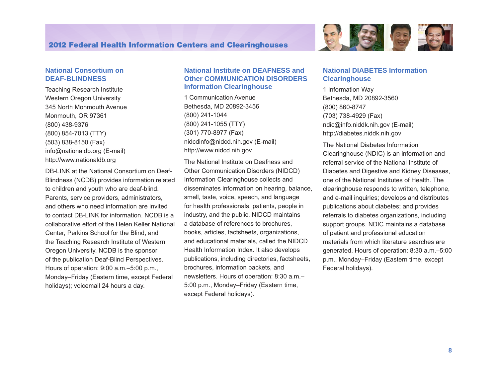

#### **National Consortium on DEAF-BLINDNESS**

Teaching Research Institute Western Oregon University 345 North Monmouth Avenue Monmouth, OR 97361 (800) 438-9376 (800) 854-7013 (TTY) (503) 838-8150 (Fax) [info@nationaldb.org](mailto:info@nationaldb.org) (E-mail) <http://www.nationaldb.org>

DB-LINK at the National Consortium on Deaf-Blindness (NCDB) provides information related to children and youth who are deaf-blind. Parents, service providers, administrators, and others who need information are invited to contact DB-LINK for information. NCDB is a collaborative effort of the Helen Keller National Center, Perkins School for the Blind, and the Teaching Research Institute of Western Oregon University. NCDB is the sponsor of the publication Deaf-Blind Perspectives. Hours of operation: 9:00 a.m.–5:00 p.m., Monday–Friday (Eastern time, except Federal holidays); voicemail 24 hours a day.

#### **National Institute on DEAFNESS and Other COMMUNICATION DISORDERS Information Clearinghouse**

1 Communication Avenue Bethesda, MD 20892-3456 (800) 241-1044 (800) 241-1055 (TTY) (301) 770-8977 (Fax) [nidcdinfo@nidcd.nih.gov](mailto:nidcdinfo@nidcd.nih.gov) (E-mail) <http://www.nidcd.nih.gov>

The National Institute on Deafness and Other Communication Disorders (NIDCD) Information Clearinghouse collects and disseminates information on hearing, balance, smell, taste, voice, speech, and language for health professionals, patients, people in industry, and the public. NIDCD maintains a database of references to brochures, books, articles, factsheets, organizations, and educational materials, called the NIDCD Health Information Index. It also develops publications, including directories, factsheets, brochures, information packets, and newsletters. Hours of operation: 8:30 a.m.– 5:00 p.m., Monday–Friday (Eastern time, except Federal holidays).

#### **National DIABETES Information Clearinghouse**

1 Information Way Bethesda, MD 20892-3560 (800) 860-8747 (703) 738-4929 (Fax) [ndic@info.niddk.nih.gov](mailto:ndic@info.niddk.nih.gov) (E-mail) <http://diabetes.niddk.nih.gov>

The National Diabetes Information Clearinghouse (NDIC) is an information and referral service of the National Institute of Diabetes and Digestive and Kidney Diseases, one of the National Institutes of Health. The clearinghouse responds to written, telephone, and e-mail inquiries; develops and distributes publications about diabetes; and provides referrals to diabetes organizations, including support groups. NDIC maintains a database of patient and professional education materials from which literature searches are generated. Hours of operation: 8:30 a.m.–5:00 p.m., Monday–Friday (Eastern time, except Federal holidays).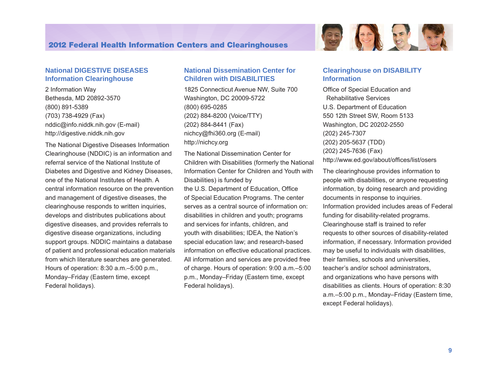#### **National DIGESTIVE DISEASES Information Clearinghouse**

2 Information Way Bethesda, MD 20892-3570 (800) 891-5389 (703) 738-4929 (Fax) [nddic@info.niddk.nih.gov](mailto:nddic@info.niddk.nih.gov) (E-mail) <http://digestive.niddk.nih.gov>

The National Digestive Diseases Information Clearinghouse (NDDIC) is an information and referral service of the National Institute of Diabetes and Digestive and Kidney Diseases, one of the National Institutes of Health. A central information resource on the prevention and management of digestive diseases, the clearinghouse responds to written inquiries, develops and distributes publications about digestive diseases, and provides referrals to digestive disease organizations, including support groups. NDDIC maintains a database of patient and professional education materials from which literature searches are generated. Hours of operation: 8:30 a.m.–5:00 p.m., Monday–Friday (Eastern time, except Federal holidays).

#### **National Dissemination Center for Children with DISABILITIES**

1825 Connecticut Avenue NW, Suite 700 Washington, DC 20009-5722 (800) 695-0285 (202) 884-8200 (Voice/TTY) (202) 884-8441 (Fax) [nichcy@fhi360.org](mailto:nichcy@aed.org) (E-mail) [http://nichcy.org](http://www.nichcy.org) 

The National Dissemination Center for Children with Disabilities (formerly the National Information Center for Children and Youth with Disabilities) is funded by the U.S. Department of Education, Office of Special Education Programs. The center serves as a central source of information on: disabilities in children and youth; programs and services for infants, children, and youth with disabilities; IDEA, the Nation's special education law; and research-based information on effective educational practices. All information and services are provided free of charge. Hours of operation: 9:00 a.m.–5:00 p.m., Monday–Friday (Eastern time, except Federal holidays).

#### **Clearinghouse on DISABILITY Information**

Office of Special Education and Rehabilitative Services U.S. Department of Education 550 12th Street SW, Room 5133 Washington, DC 20202-2550 (202) 245-7307 (202) 205-5637 (TDD) (202) 245-7636 (Fax) <http://www.ed.gov/about/offices/list/osers>

The clearinghouse provides information to people with disabilities, or anyone requesting information, by doing research and providing documents in response to inquiries. Information provided includes areas of Federal funding for disability-related programs. Clearinghouse staff is trained to refer requests to other sources of disability-related information, if necessary. Information provided may be useful to individuals with disabilities, their families, schools and universities, teacher's and/or school administrators, and organizations who have persons with disabilities as clients. Hours of operation: 8:30 a.m.–5:00 p.m., Monday–Friday (Eastern time, except Federal holidays).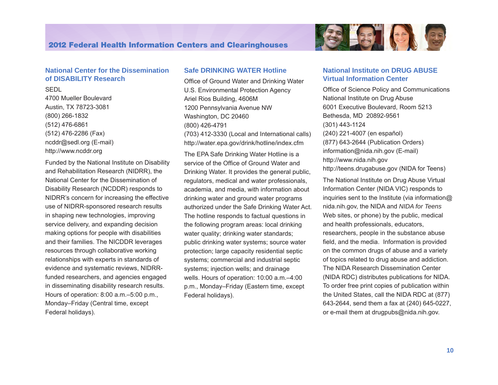

#### **National Center for the Dissemination of DISABILITY Research**

**SEDI** 

4700 Mueller Boulevard Austin, TX 78723-3081 (800) 266-1832 (512) 476-6861 (512) 476-2286 (Fax) ncddr@sedl.org (E-mail) <http://www.ncddr.org>

Funded by the National Institute on Disability and Rehabilitation Research (NIDRR), the National Center for the Dissemination of Disability Research (NCDDR) responds to NIDRR's concern for increasing the effective use of NIDRR-sponsored research results in shaping new technologies, improving service delivery, and expanding decision making options for people with disabilities and their families. The NICDDR leverages resources through collaborative working relationships with experts in standards of evidence and systematic reviews, NIDRRfunded researchers, and agencies engaged in disseminating disability research results. Hours of operation: 8:00 a.m.–5:00 p.m., Monday–Friday (Central time, except Federal holidays).

#### **Safe DRINKING WATER Hotline**

Office of Ground Water and Drinking Water U.S. Environmental Protection Agency Ariel Rios Building, 4606M 1200 Pennsylvania Avenue NW Washington, DC 20460 (800) 426-4791 (703) 412-3330 (Local and International calls) http://[water.epa.gov/drink/hotline/inde](http://water.epa.gov/drink/hotline/index.cfm)x.cfm

The EPA Safe Drinking Water Hotline is a service of the Office of Ground Water and Drinking Water. It provides the general public, regulators, medical and water professionals, academia, and media, with information about drinking water and ground water programs authorized under the Safe Drinking Water Act. The hotline responds to factual questions in the following program areas: local drinking water quality; drinking water standards; public drinking water systems; source water protection; large capacity residential septic systems; commercial and industrial septic systems; injection wells; and drainage wells. Hours of operation: 10:00 a.m.–4:00 p.m., Monday–Friday (Eastern time, except Federal holidays).

#### **National Institute on DRUG ABUSE Virtual Information Center**

Office of Science Policy and Communications National Institute on Drug Abuse 6001 Executive Boulevard, Room 5213 Bethesda, MD 20892-9561 (301) 443-1124 (240) 221-4007 (en español) (877) 643-2644 (Publication Orders) information@nida.nih.gov (E-mail) http://www.nida.nih.gov http://teens.drugabuse.gov (NIDA for Teens)

The National Institute on Drug Abuse Virtual Information Center (NIDA VIC) responds to inquiries sent to the Institute (via information $@$ nida.nih.gov, the NIDA and *NIDA for Teens*  Web sites, or phone) by the public, medical and health professionals, educators, researchers, people in the substance abuse field, and the media. Information is provided on the common drugs of abuse and a variety of topics related to drug abuse and addiction. The NIDA Research Dissemination Center (NIDA RDC) distributes publications for NIDA. To order free print copies of publication within the United States, call the NIDA RDC at (877) 643-2644, send them a fax at (240) 645-0227, or e-mail them at drugpubs@nida.nih.gov.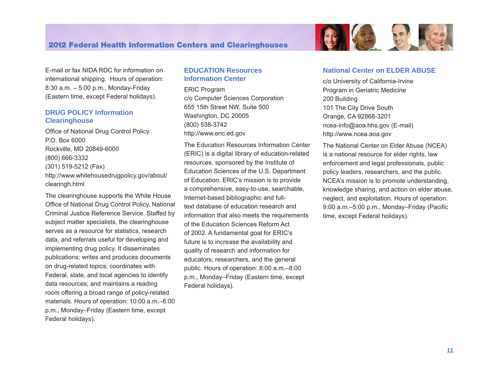E-mail or fax NIDA RDC for information on international shipping. Hours of operation: 8:30 a.m. – 5:00 p.m., Monday-Friday (Eastern time, except Federal holidays).

#### **DRUG POLICY Information Clearinghouse**

Office of National Drug Control Policy P.O. Box 6000 Rockville, MD 20849-6000 (800) 666-3332 (301) 519-5212 (Fax) [http://www.whitehousedrugpolicy.gov/about/](http://www.whitehousedrugpolicy.gov/about/clearingh.html)  [clearingh.html](http://www.whitehousedrugpolicy.gov/about/clearingh.html)

The clearinghouse supports the White House Office of National Drug Control Policy, National Criminal Justice Reference Service. Staffed by subject matter specialists, the clearinghouse serves as a resource for statistics, research data, and referrals useful for developing and implementing drug policy. It disseminates publications; writes and produces documents on drug-related topics; coordinates with Federal, state, and local agencies to identify data resources; and maintains a reading room offering a broad range of policy-related materials. Hours of operation: 10:00 a.m.–6:00 p.m., Monday–Friday (Eastern time, except Federal holidays).

#### **EDUCATION Resources Information Center**

ERIC Program c/o Computer Sciences Corporation 655 15th Street NW, Suite 500 Washington, DC 20005 (800) 538-3742 <http://www.eric.ed.gov>

The Education Resources Information Center (ERIC) is a digital library of education-related resources, sponsored by the Institute of Education Sciences of the U.S. Department of Education. ERIC's mission is to provide a comprehensive, easy-to-use, searchable, Internet-based bibliographic and fulltext database of education research and information that also meets the requirements of the Education Sciences Reform Act of 2002. A fundamental goal for ERIC's future is to increase the availability and quality of research and information for educators, researchers, and the general public. Hours of operation: 8:00 a.m.–8:00 p.m., Monday–Friday (Eastern time, except Federal holidays).

#### **National Center on ELDER ABUSE**

c/o University of California-Irvine Program in Geriatric Medicine 200 Building 101 The City Drive South Orange, CA 92868-3201 [ncea-info@aoa.hhs.gov](mailto:ncea-info@aoa.hhs.gov) (E-mail) <http://www.ncea.aoa.gov>

The National Center on Elder Abuse (NCEA) is a national resource for elder rights, law enforcement and legal professionals, public policy leaders, researchers, and the public. NCEA's mission is to promote understanding, knowledge sharing, and action on elder abuse, neglect, and exploitation. Hours of operation: 9:00 a.m.–5:00 p.m., Monday–Friday (Pacific time, except Federal holidays).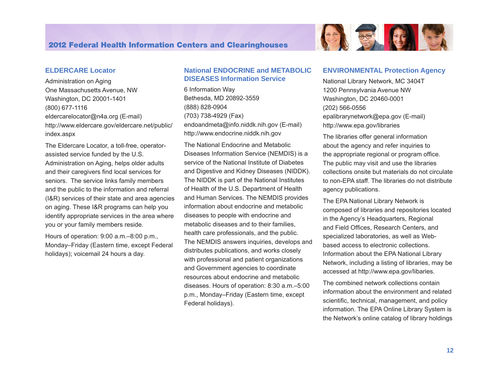

Administration on Aging One Massachusetts Avenue, NW Washington, DC 20001-1401 (800) 677-1116 [eldercarelocator@n4a.org](mailto:eldercarelocator@spherix.com) (E-mail) [http://www.eldercare.gov/eldercare.net/public/](http://www.eldercare.gov/eldercare.net/public/index.aspx) [index.aspx](http://www.eldercare.gov/eldercare.net/public/index.aspx)

 seniors. The service links family members The Eldercare Locator, a toll-free, operatorassisted service funded by the U.S. Administration on Aging, helps older adults and their caregivers find local services for and the public to the information and referral (I&R) services of their state and area agencies on aging. These I&R programs can help you identify appropriate services in the area where you or your family members reside.

Hours of operation: 9:00 a.m.–8:00 p.m., Monday–Friday (Eastern time, except Federal holidays); voicemail 24 hours a day.

#### **National ENDOCRINE and METABOLIC DISEASES Information Service**

6 Information Way Bethesda, MD 20892-3559 (888) 828-0904 (703) 738-4929 (Fax) [endoandmeta@info.niddk.nih.gov](mailto:endoandmeta@info.niddk.nih.gov) (E-mail) <http://www.endocrine.niddk.nih.gov>

The National Endocrine and Metabolic Diseases Information Service (NEMDIS) is a service of the National Institute of Diabetes and Digestive and Kidney Diseases (NIDDK). The NIDDK is part of the National Institutes of Health of the U.S. Department of Health and Human Services. The NEMDIS provides information about endocrine and metabolic diseases to people with endocrine and metabolic diseases and to their families, health care professionals, and the public. The NEMDIS answers inquiries, develops and distributes publications, and works closely with professional and patient organizations and Government agencies to coordinate resources about endocrine and metabolic diseases. Hours of operation: 8:30 a.m.–5:00 p.m., Monday–Friday (Eastern time, except Federal holidays).

#### **ENVIRONMENTAL Protection Agency**

National Library Network, MC 3404T 1200 Pennsylvania Avenue NW Washington, DC 20460-0001 (202) 566-0556 [epalibrarynetwork@epa.gov](mailto:epachemlibraries@epa.gov) (E-mail) <http://www.epa.gov/libraries>

6 梦日

The libraries offer general information about the agency and refer inquiries to the appropriate regional or program office. The public may visit and use the libraries collections onsite but materials do not circulate to non-EPA staff. The libraries do not distribute agency publications.

The EPA National Library Network is composed of libraries and repositories located in the Agency's Headquarters, Regional and Field Offices, Research Centers, and specialized laboratories, as well as Webbased access to electronic collections. Information about the EPA National Library Network, including a listing of libraries, may be accessed at [http://www.epa.gov/libaries](http://www.epa.gov/libraries).

The combined network collections contain information about the environment and related scientific, technical, management, and policy information. The EPA Online Library System is the Network's online catalog of library holdings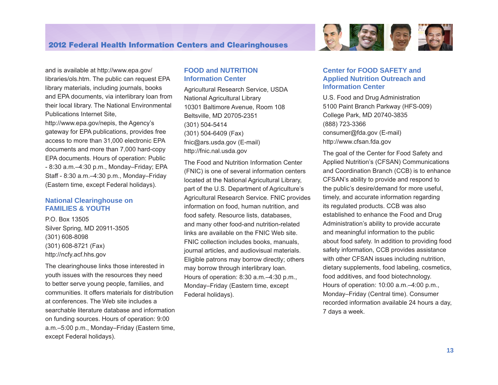

and is available at <http://www.epa.gov/> libraries/ols.htm. The public can request EPA library materials, including journals, books and EPA documents, via interlibrary loan from their local library. The National Environmental Publications Internet Site,

<http://www.epa.gov/nepis>, the Agency's gateway for EPA publications, provides free access to more than 31,000 electronic EPA documents and more than 7,000 hard-copy EPA documents. Hours of operation: Public - 8:30 a.m.–4:30 p.m., Monday–Friday; EPA Staff - 8:30 a.m.–4:30 p.m., Monday–Friday (Eastern time, except Federal holidays).

#### **National Clearinghouse on FAMILIES & YOUTH**

P.O. Box 13505 Silver Spring, MD 20911-3505 (301) 608-8098 (301) 608-8721 (Fax) <http://ncfy.acf.hhs.gov>

The clearinghouse links those interested in youth issues with the resources they need to better serve young people, families, and communities. It offers materials for distribution at conferences. The Web site includes a searchable literature database and information on funding sources. Hours of operation: 9:00 a.m.–5:00 p.m., Monday–Friday (Eastern time, except Federal holidays).

#### **FOOD and NUTRITION Information Center**

Agricultural Research Service, USDA National Agricultural Library 10301 Baltimore Avenue, Room 108 Beltsville, MD 20705-2351 (301) 504-5414 (301) 504-6409 (Fax) [fnic@ars.usda.gov](mailto:fnic@ars.usda.gov) (E-mail) [http://fnic.nal.usda.gov](http://fnic.nal.usda.gov/nal_display/index.php?info_center=4&tax_level=1) 

The Food and Nutrition Information Center (FNIC) is one of several information centers located at the National Agricultural Library, part of the U.S. Department of Agriculture's Agricultural Research Service. FNIC provides information on food, human nutrition, and food safety. Resource lists, databases, and many other food-and nutrition-related links are available on the FNIC Web site. FNIC collection includes books, manuals, journal articles, and audiovisual materials. Eligible patrons may borrow directly; others may borrow through interlibrary loan. Hours of operation: 8:30 a.m.–4:30 p.m., Monday–Friday (Eastern time, except Federal holidays).

#### **Center for FOOD SAFETY and Applied Nutrition Outreach and Information Center**

U.S. Food and Drug Administration 5100 Paint Branch Parkway (HFS-009) College Park, MD 20740-3835 (888) 723-3366 [consumer@fda.gov](mailto:consumer@fda.gov) (E-mail) <http://www.cfsan.fda.gov>

The goal of the Center for Food Safety and Applied Nutrition's (CFSAN) Communications and Coordination Branch (CCB) is to enhance CFSAN's ability to provide and respond to the public's desire/demand for more useful, timely, and accurate information regarding its regulated products. CCB was also established to enhance the Food and Drug Administration's ability to provide accurate and meaningful information to the public about food safety. In addition to providing food safety information, CCB provides assistance with other CFSAN issues including nutrition, dietary supplements, food labeling, cosmetics, food additives, and food biotechnology. Hours of operation: 10:00 a.m.–4:00 p.m., Monday–Friday (Central time). Consumer recorded information available 24 hours a day, 7 days a week.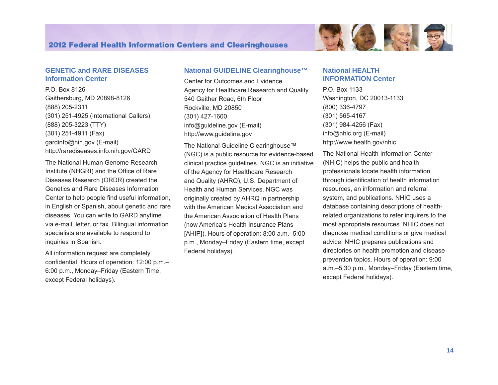

#### **GENETIC and RARE DISEASES Information Center**

P.O. Box 8126 Gaithersburg, MD 20898-8126 (888) 205-2311 (301) 251-4925 (International Callers) (888) 205-3223 (TTY) (301) 251-4911 (Fax) [gardinfo@nih.gov](mailto:gardinfo@nih.gov) (E-mail) <http://rarediseases.info.nih.gov/GARD>

The National Human Genome Research Institute (NHGRI) and the Office of Rare Diseases Research (ORDR) created the Genetics and Rare Diseases Information Center to help people find useful information, in English or Spanish, about genetic and rare diseases. You can write to GARD anytime via e-mail, letter, or fax. Bilingual information specialists are available to respond to inquiries in Spanish.

All information request are completely confidential. Hours of operation: 12:00 p.m.– 6:00 p.m., Monday–Friday (Eastern Time, except Federal holidays).

#### **National GUIDELINE Clearinghouse™**

Center for Outcomes and Evidence Agency for Healthcare Research and Quality 540 Gaither Road, 6th Floor Rockville, MD 20850 (301) 427-1600 [info@guideline.gov](mailto:info@guideline.gov) (E-mail) <http://www.guideline.gov>

The National Guideline Clearinghouse™ (NGC) is a public resource for evidence-based clinical practice guidelines. NGC is an initiative of the Agency for Healthcare Research and Quality (AHRQ), U.S. Department of Health and Human Services. NGC was originally created by AHRQ in partnership with the American Medical Association and the American Association of Health Plans (now America's Health Insurance Plans [AHIP]). Hours of operation: 8:00 a.m.–5:00 p.m., Monday–Friday (Eastern time, except Federal holidays).

#### **National HEALTH INFORMATION Center**

P.O. Box 1133 Washington, DC 20013-1133 (800) 336-4797 (301) 565-4167 (301) 984-4256 (Fax) [info@nhic.org](mailto:info@nhic.org) (E-mail) <http://www.health.gov/nhic>

The National Health Information Center (NHIC) helps the public and health professionals locate health information through identification of health information resources, an information and referral system, and publications. NHIC uses a database containing descriptions of healthrelated organizations to refer inquirers to the most appropriate resources. NHIC does not diagnose medical conditions or give medical advice. NHIC prepares publications and directories on health promotion and disease prevention topics. Hours of operation: 9:00 a.m.–5:30 p.m., Monday–Friday (Eastern time, except Federal holidays).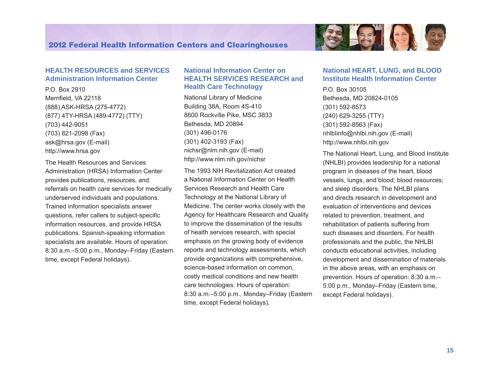

#### **HEALTH RESOURCES and SERVICES Administration Information Center**

P.O. Box 2910 Merrifield, VA 22118 (888) ASK-HRSA (275-4772) (877) 4TY-HRSA (489-4772) (TTY) (703) 442-9051 (703) 821-2098 (Fax) [ask@hrsa.gov](mailto:ask@hrsa.gov) (E-mail) <http://www.hrsa.gov>

The Health Resources and Services Administration (HRSA) Information Center provides publications, resources, and referrals on health care services for medically underserved individuals and populations. Trained information specialists answer questions, refer callers to subject-specific information resources, and provide HRSA publications. Spanish-speaking information specialists are available. Hours of operation: 8:30 a.m.–5:00 p.m., Monday–Friday (Eastern time, except Federal holidays).

#### **National Information Center on HEALTH SERVICES RESEARCH and Health Care Technology**

National Library of Medicine Building 38A, Room 4S-410 8600 Rockville Pike, MSC 3833 Bethesda, MD 20894 (301) 496-0176 (301) 402-3193 (Fax) [nichsr@nlm.nih.gov](mailto:nichsr@nlm.nih.gov) (E-mail) <http://www.nlm.nih.gov/nichsr>

The 1993 NIH Revitalization Act created a National Information Center on Health Services Research and Health Care Technology at the National Library of Medicine. The center works closely with the Agency for Healthcare Research and Quality to improve the dissemination of the results of health services research, with special emphasis on the growing body of evidence reports and technology assessments, which provide organizations with comprehensive, science-based information on common, costly medical conditions and new health care technologies. Hours of operation: 8:30 a.m.–5:00 p.m., Monday–Friday (Eastern time, except Federal holidays).

#### **National HEART, LUNG, and BLOOD Institute Health Information Center**

P.O. Box 30105 Bethesda, MD 20824-0105 (301) 592-8573 (240) 629-3255 (TTY) (301) 592-8563 (Fax) [nhlbIinfo@nhlbi.nih.gov](mailto:nhlbIinfo@nhlbi.nih.gov) (E-mail) <http://www.nhlbi.nih.gov>

The National Heart, Lung, and Blood Institute (NHLBI) provides leadership for a national program in diseases of the heart, blood vessels, lungs, and blood; blood resources; and sleep disorders. The NHLBI plans and directs research in development and evaluation of interventions and devices related to prevention, treatment, and rehabilitation of patients suffering from such diseases and disorders. For health professionals and the public, the NHLBI conducts educational activities, including development and dissemination of materials in the above areas, with an emphasis on prevention. Hours of operation: 8:30 a.m.– 5:00 p.m., Monday–Friday (Eastern time, except Federal holidays).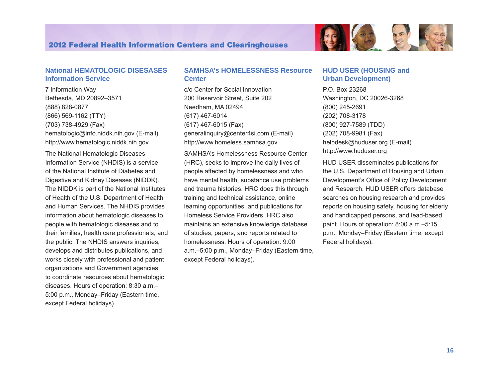

#### **National HEMATOLOGIC DISESASES Information Service**

7 Information Way Bethesda, MD 20892–3571 (888) 828-0877 (866) 569-1162 (TTY) (703) 738-4929 (Fax) [hematologic@info.niddk.nih.gov](mailto:hematologic@info.niddk.nih.gov) (E-mail) <http://www.hematologic.niddk.nih.gov>

The National Hematologic Diseases Information Service (NHDIS) is a service of the National Institute of Diabetes and Digestive and Kidney Diseases (NIDDK). The NIDDK is part of the National Institutes of Health of the U.S. Department of Health and Human Services. The NHDIS provides information about hematologic diseases to people with hematologic diseases and to their families, health care professionals, and the public. The NHDIS answers inquiries, develops and distributes publications, and works closely with professional and patient organizations and Government agencies to coordinate resources about hematologic diseases. Hours of operation: 8:30 a.m.– 5:00 p.m., Monday–Friday (Eastern time, except Federal holidays).

#### **SAMHSA's HOMELESSNESS Resource Center**

c/o Center for Social Innovation 200 Reservoir Street, Suite 202 Needham, MA 02494 (617) 467-6014 (617) 467-6015 (Fax) [generalinquiry@center4si.com](mailto:generalinquiry@center4si.com) (E-mail) <http://www.homeless.samhsa.gov>

SAMHSA's Homelessness Resource Center (HRC), seeks to improve the daily lives of people affected by homelessness and who have mental health, substance use problems and trauma histories. HRC does this through training and technical assistance, online learning opportunities, and publications for Homeless Service Providers. HRC also maintains an extensive knowledge database of studies, papers, and reports related to homelessness. Hours of operation: 9:00 a.m.–5:00 p.m., Monday–Friday (Eastern time, except Federal holidays).

#### **HUD USER (HOUSING and Urban Development)**

P.O. Box 23268 Washington, DC 20026-3268 (800) 245-2691 (202) 708-3178 (800) 927-7589 (TDD) (202) 708-9981 (Fax) [helpdesk@huduser.org](mailto:helpdesk@huduser.org) (E-mail) <http://www.huduser.org>

HUD USER disseminates publications for the U.S. Department of Housing and Urban Development's Office of Policy Development and Research. HUD USER offers database searches on housing research and provides reports on housing safety, housing for elderly and handicapped persons, and lead-based paint. Hours of operation: 8:00 a.m.–5:15 p.m., Monday–Friday (Eastern time, except Federal holidays).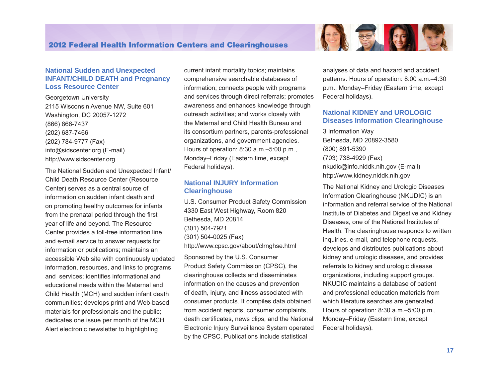

#### **National Sudden and Unexpected INFANT/CHILD DEATH and Pregnancy Loss Resource Center**

Georgetown University 2115 Wisconsin Avenue NW, Suite 601 Washington, DC 20057-1272 (866) 866-7437 (202) 687-7466 (202) 784-9777 (Fax) [info@sidscenter.org](mailto:info@sidscenter.org) (E-mail) <http://www.sidscenter.org>

The National Sudden and Unexpected Infant/ Child Death Resource Center (Resource Center) serves as a central source of information on sudden infant death and on promoting healthy outcomes for infants from the prenatal period through the first year of life and beyond. The Resource Center provides a toll-free information line and e-mail service to answer requests for information or publications; maintains an accessible Web site with continuously updated information, resources, and links to programs and services; identifies informational and educational needs within the Maternal and Child Health (MCH) and sudden infant death communities; develops print and Web-based materials for professionals and the public; dedicates one issue per month of the MCH Alert electronic newsletter to highlighting

current infant mortality topics; maintains comprehensive searchable databases of information; connects people with programs and services through direct referrals; promotes awareness and enhances knowledge through outreach activities; and works closely with the Maternal and Child Health Bureau and its consortium partners, parents-professional organizations, and government agencies. Hours of operation: 8:30 a.m.–5:00 p.m., Monday–Friday (Eastern time, except Federal holidays).

#### **National INJURY Information Clearinghouse**

U.S. Consumer Product Safety Commission 4330 East West Highway, Room 820 Bethesda, MD 20814 (301) 504-7921 (301) 504-0025 (Fax) <http://www.cpsc.gov/about/clrnghse.html>

Sponsored by the U.S. Consumer Product Safety Commission (CPSC), the clearinghouse collects and disseminates information on the causes and prevention of death, injury, and illness associated with consumer products. It compiles data obtained from accident reports, consumer complaints, death certificates, news clips, and the National Electronic Injury Surveillance System operated by the CPSC. Publications include statistical

analyses of data and hazard and accident patterns. Hours of operation: 8:00 a.m.–4:30 p.m., Monday–Friday (Eastern time, except Federal holidays).

#### **National KIDNEY and UROLOGIC Diseases Information Clearinghouse**

3 Information Way Bethesda, MD 20892-3580 (800) 891-5390 (703) 738-4929 (Fax) [nkudic@info.niddk.nih.gov](mailto:nkudic@info.niddk.nih.gov) (E-mail) <http://www.kidney.niddk.nih.gov>

The National Kidney and Urologic Diseases Information Clearinghouse (NKUDIC) is an information and referral service of the National Institute of Diabetes and Digestive and Kidney Diseases, one of the National Institutes of Health. The clearinghouse responds to written inquiries, e-mail, and telephone requests, develops and distributes publications about kidney and urologic diseases, and provides referrals to kidney and urologic disease organizations, including support groups. NKUDIC maintains a database of patient and professional education materials from which literature searches are generated. Hours of operation: 8:30 a.m.–5:00 p.m., Monday–Friday (Eastern time, except Federal holidays).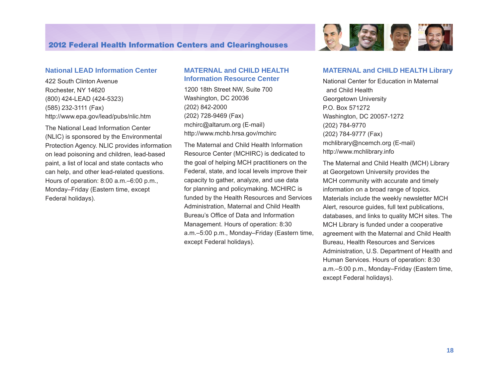

#### **National LEAD Information Center**

422 South Clinton Avenue Rochester, NY 14620 (800) 424-LEAD (424-5323) (585) 232-3111 (Fax) <http://www.epa.gov/lead/pubs/nlic.htm>

The National Lead Information Center (NLIC) is sponsored by the Environmental Protection Agency. NLIC provides information on lead poisoning and children, lead-based paint, a list of local and state contacts who can help, and other lead-related questions. Hours of operation: 8:00 a.m.–6:00 p.m., Monday–Friday (Eastern time, except Federal holidays).

#### **MATERNAL and CHILD HEALTH Information Resource Center**

1200 18th Street NW, Suite 700 Washington, DC 20036 (202) 842-2000 (202) 728-9469 (Fax) [mchirc@altarum.org](mailto:mchirc@altarum.org) (E-mail) <http://www.mchb.hrsa.gov/mchirc>

The Maternal and Child Health Information Resource Center (MCHIRC) is dedicated to the goal of helping MCH practitioners on the Federal, state, and local levels improve their capacity to gather, analyze, and use data for planning and policymaking. MCHIRC is funded by the Health Resources and Services Administration, Maternal and Child Health Bureau's Office of Data and Information Management. Hours of operation: 8:30 a.m.–5:00 p.m., Monday–Friday (Eastern time, except Federal holidays).

#### **MATERNAL and CHILD HEALTH Library**

National Center for Education in Maternal and Child Health Georgetown University P.O. Box 571272 Washington, DC 20057-1272 (202) 784-9770 (202) 784-9777 (Fax) [mchlibrary@ncemch.org](mailto:mchlibrary@ncemch.org) (E-mail) <http://www.mchlibrary.info>

The Maternal and Child Health (MCH) Library at Georgetown University provides the MCH community with accurate and timely information on a broad range of topics. Materials include the weekly newsletter MCH Alert, resource guides, full text publications, databases, and links to quality MCH sites. The MCH Library is funded under a cooperative agreement with the Maternal and Child Health Bureau, Health Resources and Services Administration, U.S. Department of Health and Human Services. Hours of operation: 8:30 a.m.–5:00 p.m., Monday–Friday (Eastern time, except Federal holidays).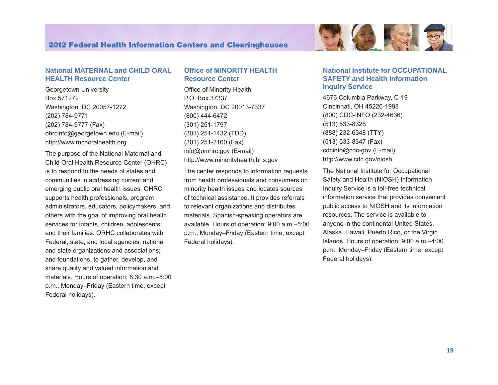

#### **National MATERNAL and CHILD ORAL HEALTH Resource Center**

Georgetown University Box 571272 Washington, DC 20057-1272 (202) 784-9771 (202) 784-9777 (Fax) [ohrcinfo@georgetown.edu](mailto:ohrcinfo@georgetown.edu) (E-mail) <http://www.mchoralhealth.org>

The purpose of the National Maternal and Child Oral Health Resource Center (OHRC) is to respond to the needs of states and communities in addressing current and emerging public oral health issues. OHRC supports health professionals, program administrators, educators, policymakers, and others with the goal of improving oral health services for infants, children, adolescents, and their families. ORHC collaborates with Federal, state, and local agencies; national and state organizations and associations; and foundations, to gather, develop, and share quality and valued information and materials. Hours of operation: 8:30 a.m.–5:00 p.m., Monday–Friday (Eastern time, except Federal holidays).

#### **Office of MINORITY HEALTH Resource Center**

Office of Minority Health P.O. Box 37337 Washington, DC 20013-7337 (800) 444-6472 (301) 251-1797 (301) 251-1432 (TDD) (301) 251-2160 (Fax) [info@omhrc.gov](mailto:info@omhrc.gov) (E-mail) [http://www.m](http://www.omhrc.gov)inorityhealth.hhs.gov

The center responds to information requests from health professionals and consumers on minority health issues and locates sources of technical assistance. It provides referrals to relevant organizations and distributes materials. Spanish-speaking operators are available. Hours of operation: 9:00 a.m.–5:00 p.m., Monday–Friday (Eastern time, except Federal holidays).

#### **National Institute for OCCUPATIONAL SAFETY and Health Information Inquiry Service**

4676 Columbia Parkway, C-19 Cincinnati, OH 45226-1998 (800) CDC-INFO (232-4636) (513) 533-8328 (888) 232-6348 (TTY) (513) 533-8347 (Fax) [cdcinfo@cdc-gov](mailto:cdcinfo@cdc-gov) (E-mail) <http://www.cdc.gov/niosh>

The National Institute for Occupational Safety and Health (NIOSH) Information Inquiry Service is a toll-free technical information service that provides convenient public access to NIOSH and its information resources. The service is available to anyone in the continental United States, Alaska, Hawaii, Puerto Rico, or the Virgin Islands. Hours of operation: 9:00 a.m.–4:00 p.m., Monday–Friday (Eastern time, except Federal holidays).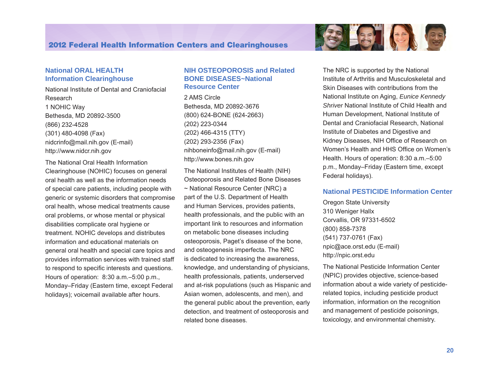

#### **National ORAL HEALTH Information Clearinghouse**

National Institute of Dental and Craniofacial Research 1 NOHIC Way Bethesda, MD 20892-3500 (866) 232-4528 (301) 480-4098 (Fax) [nidcrinfo@mail.nih.gov](mailto:nidcrinfo@mail.nih.gov) (E-mail) <http://www.nidcr.nih.gov>

The National Oral Health Information Clearinghouse (NOHIC) focuses on general oral health as well as the information needs of special care patients, including people with generic or systemic disorders that compromise oral health, whose medical treatments cause oral problems, or whose mental or physical disabilities complicate oral hygiene or treatment. NOHIC develops and distributes information and educational materials on general oral health and special care topics and provides information services with trained staff to respond to specific interests and questions. Hours of operation: 8:30 a.m.–5:00 p.m., Monday–Friday (Eastern time, except Federal holidays); voicemail available after hours.

#### **NIH OSTEOPOROSIS and Related BONE DISEASES~National Resource Center**

2 AMS Circle Bethesda, MD 20892-3676 (800) 624-BONE (624-2663) (202) 223-0344 (202) 466-4315 (TTY) (202) 293-2356 (Fax) [nihboneinfo@mail.nih.gov](mailto:niamsboneInfo@mail.nih.gov) (E-mail) [http://www.bones.nih.gov](http://www.niams.nih.gov/bone) 

The National Institutes of Health (NIH) Osteoporosis and Related Bone Diseases ~ National Resource Center (NRC) a part of the U.S. Department of Health and Human Services, provides patients, health professionals, and the public with an important link to resources and information on metabolic bone diseases including osteoporosis, Paget's disease of the bone, and osteogenesis imperfecta. The NRC is dedicated to increasing the awareness, knowledge, and understanding of physicians, health professionals, patients, underserved and at-risk populations (such as Hispanic and Asian women, adolescents, and men), and the general public about the prevention, early detection, and treatment of osteoporosis and related bone diseases.

The NRC is supported by the National Institute of Arthritis and Musculoskeletal and Skin Diseases with contributions from the National Institute on Aging, *Eunice Kennedy Shriver* National Institute of Child Health and Human Development, National Institute of Dental and Craniofacial Research, National Institute of Diabetes and Digestive and Kidney Diseases, NIH Office of Research on Women's Health and HHS Office on Women's Health. Hours of operation: 8:30 a.m.–5:00 p.m., Monday–Friday (Eastern time, except Federal holidays).

#### **National PESTICIDE Information Center**

Oregon State University 310 Weniger Hallx Corvallis, OR 97331-6502 (800) 858-7378 (541) 737-0761 (Fax) [npic@ace.orst.edu](mailto:npic@ace.orst.edu) (E-mail) <http://npic.orst.edu>

The National Pesticide Information Center (NPIC) provides objective, science-based information about a wide variety of pesticiderelated topics, including pesticide product information, information on the recognition and management of pesticide poisonings, toxicology, and environmental chemistry.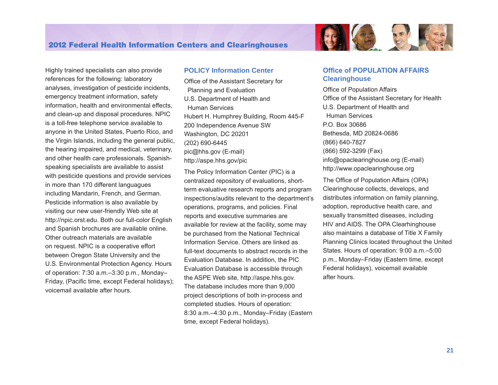Highly trained specialists can also provide references for the following: laboratory analyses, investigation of pesticide incidents, emergency treatment information, safety information, health and environmental effects, and clean-up and disposal procedures. NPIC is a toll-free telephone service available to anyone in the United States, Puerto Rico, and the Virgin Islands, including the general public, the hearing impaired, and medical, veterinary, and other health care professionals. Spanishspeaking specialists are available to assist with pesticide questions and provide services in more than 170 different languagues including Mandarin, French, and German. Pesticide information is also available by visiting our new user-friendly Web site at http://npic.orst.edu. Both our full-color English and Spanish brochures are available online. Other outreach materials are available on request. NPIC is a cooperative effort between Oregon State University and the U.S. Environmental Protection Agency. Hours of operation: 7:30 a.m.–3:30 p.m., Monday– Friday, (Pacific time, except Federal holidays); voicemail available after hours.

#### **POLICY Information Center**

Office of the Assistant Secretary for Planning and Evaluation U.S. Department of Health and Human Services Hubert H. Humphrey Building, Room 445-F 200 Independence Avenue SW Washington, DC 20201 (202) 690-6445 pic@hhs.gov (E-mail) <http://aspe.hhs.gov/pic>

The Policy Information Center (PIC) is a centralized repository of evaluations, shortterm evaluative research reports and program inspections/audits relevant to the department's operations, programs, and policies. Final reports and executive summaries are available for review at the facility, some may be purchased from the National Technical Information Service. Others are linked as full-text documents to abstract records in the Evaluation Database. In addition, the PIC Evaluation Database is accessible through the ASPE Web site, <http://aspe.hhs.gov>. The database includes more than 9,000 project descriptions of both in-process and completed studies. Hours of operation: 8:30 a.m.–4:30 p.m., Monday–Friday (Eastern time, except Federal holidays).

#### **Office of POPULATION AFFAIRS Clearinghouse**

**ASSES** 

Office of Population Affairs Office of the Assistant Secretary for Health U.S. Department of Health and Human Services P.O. Box 30686 Bethesda, MD 20824-0686 (866) 640-7827 (866) 592-3299 (Fax) [info@opaclearinghouse.org](mailto:info@opaclearinghouse.org) (E-mail) <http://www.opaclearinghouse.org>

The Office of Population Affairs (OPA) Clearinghouse collects, develops, and distributes information on family planning, adoption, reproductive health care, and sexually transmitted diseases, including HIV and AIDS. The OPA Clearhinghouse also maintains a database of Title X Family Planning Clinics located throughout the United States. Hours of operation: 9:00 a.m.–5:00 p.m., Monday–Friday (Eastern time, except Federal holidays), voicemail available after hours.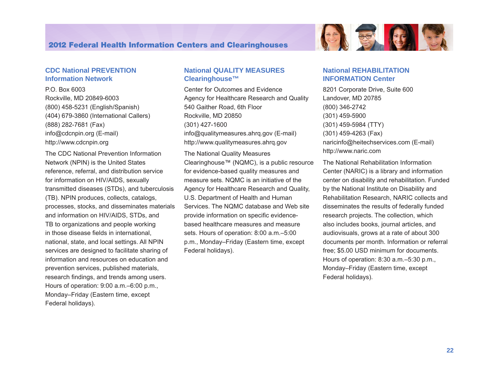#### **CDC National PREVENTION Information Network**

P.O. Box 6003 Rockville, MD 20849-6003 (800) 458-5231 (English/Spanish) (404) 679-3860 (International Callers) (888) 282-7681 (Fax) [info@cdcnpin.org](mailto:info@cdcnpin.org) (E-mail) <http://www.cdcnpin.org>

The CDC National Prevention Information Network (NPIN) is the United States reference, referral, and distribution service for information on HIV/AIDS, sexually transmitted diseases (STDs), and tuberculosis (TB). NPIN produces, collects, catalogs, processes, stocks, and disseminates materials and information on HIV/AIDS, STDs, and TB to organizations and people working in those disease fields in international, national, state, and local settings. All NPIN services are designed to facilitate sharing of information and resources on education and prevention services, published materials, research findings, and trends among users. Hours of operation: 9:00 a.m.–6:00 p.m., Monday–Friday (Eastern time, except Federal holidays).

#### **National QUALITY MEASURES Clearinghouse™**

Center for Outcomes and Evidence Agency for Healthcare Research and Quality 540 Gaither Road, 6th Floor Rockville, MD 20850 (301) 427-1600 info@qualitymeasures.ahrq.gov (E-mail) <http://www.qualitymeasures.ahrq.gov>

The National Quality Measures Clearinghouse™ (NQMC), is a public resource for evidence-based quality measures and measure sets. NQMC is an initiative of the Agency for Healthcare Research and Quality, U.S. Department of Health and Human Services. The NQMC database and Web site provide information on specific evidencebased healthcare measures and measure sets. Hours of operation: 8:00 a.m.–5:00 p.m., Monday–Friday (Eastern time, except Federal holidays).



#### **National REHABILITATION INFORMATION Center**

8201 Corporate Drive, Suite 600 Landover, MD 20785 (800) 346-2742 (301) 459-5900 (301) 459-5984 (TTY) (301) 459-4263 (Fax) [naricinfo@heitechservices.com](mailto:naricinfo@heitechservices.com) (E-mail) <http://www.naric.com>

The National Rehabilitation Information Center (NARIC) is a library and information center on disability and rehabilitation. Funded by the National Institute on Disability and Rehabilitation Research, NARIC collects and disseminates the results of federally funded research projects. The collection, which also includes books, journal articles, and audiovisuals, grows at a rate of about 300 documents per month. Information or referral free; \$5.00 USD minimum for documents. Hours of operation: 8:30 a.m.–5:30 p.m., Monday–Friday (Eastern time, except Federal holidays).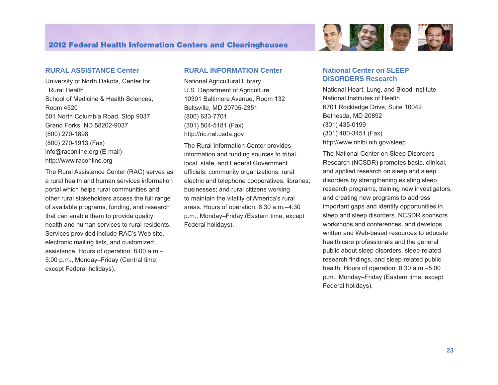#### **RURAL ASSISTANCE Center**

University of North Dakota, Center for Rural Health School of Medicine & Health Sciences, Room 4520 501 North Columbia Road, Stop 9037 Grand Forks, ND 58202-9037 (800) 270-1898 (800) 270-1913 (Fax) [info@raconline.org](mailto:info@raconline.org) (E-mail) <http://www.raconline.org>

The Rural Assistance Center (RAC) serves as a rural health and human services information portal which helps rural communities and other rural stakeholders access the full range of available programs, funding, and research that can enable them to provide quality health and human services to rural residents. Services provided include RAC's Web site, electronic mailing lists, and customized assistance. Hours of operation: 8:00 a.m.– 5:00 p.m., Monday–Friday (Central time, except Federal holidays).

#### **RURAL INFORMATION Center**

National Agricultural Library U.S. Department of Agriculture 10301 Baltimore Avenue, Room 132 Beltsville, MD 20705-2351 (800) 633-7701 (301) 504-5181 (Fax) <http://ric.nal.usda.gov>

The Rural Information Center provides information and funding sources to tribal, local, state, and Federal Government officials; community organizations; rural electric and telephone cooperatives; libraries; businesses; and rural citizens working to maintain the vitality of America's rural areas. Hours of operation: 8:30 a.m.–4:30 p.m., Monday–Friday (Eastern time, except Federal holidays).



#### **National Center on SLEEP DISORDERS Research**

National Heart, Lung, and Blood Institute National Institutes of Health 6701 Rockledge Drive, Suite 10042 Bethesda, MD 20892 (301) 435-0199 (301) 480-3451 (Fax) <http://www.nhlbi.nih.gov/sleep>

The National Center on Sleep Disorders Research (NCSDR) promotes basic, clinical, and applied research on sleep and sleep disorders by strengthening existing sleep research programs, training new investigators, and creating new programs to address important gaps and identify opportunities in sleep and sleep disorders. NCSDR sponsors workshops and conferences, and develops written and Web-based resources to educate health care professionals and the general public about sleep disorders, sleep-related research findings, and sleep-related public health. Hours of operation: 8:30 a.m.–5:00 p.m., Monday–Friday (Eastern time, except Federal holidays).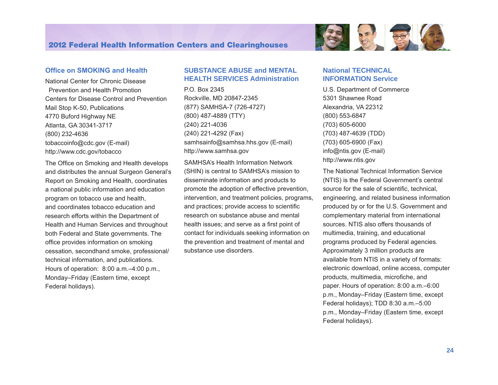

#### **Office on SMOKING and Health**

National Center for Chronic Disease Prevention and Health Promotion Centers for Disease Control and Prevention Mail Stop K-50, Publications 4770 Buford Highway NE Atlanta, GA 30341-3717 (800) 232-4636 [tobaccoinfo@cdc.gov](mailto:tobaccoinfo@cdc.gov) (E-mail) <http://www.cdc.gov/tobacco>

The Office on Smoking and Health develops and distributes the annual Surgeon General's Report on Smoking and Health, coordinates a national public information and education program on tobacco use and health, and coordinates tobacco education and research efforts within the Department of Health and Human Services and throughout both Federal and State governments. The office provides information on smoking cessation, secondhand smoke, professional/ technical information, and publications. Hours of operation: 8:00 a.m.–4:00 p.m., Monday–Friday (Eastern time, except Federal holidays).

#### **SUBSTANCE ABUSE and MENTAL HEALTH SERVICES Administration**

P.O. Box 2345 Rockville, MD 20847-2345 (877) SAMHSA-7 (726-4727) (800) 487-4889 (TTY) (240) 221-4036 (240) 221-4292 (Fax) samhsainfo@samhsa.hhs.gov (E-mail) [http://www.samhsa.gov](http://www.samhsa.gov/shin) 

SAMHSA's Health Information Network (SHIN) is central to SAMHSA's mission to disseminate information and products to promote the adoption of effective prevention, intervention, and treatment policies, programs, and practices; provide access to scientific research on substance abuse and mental health issues; and serve as a first point of contact for individuals seeking information on the prevention and treatment of mental and substance use disorders.

#### **National TECHNICAL INFORMATION Service**

U.S. Department of Commerce 5301 Shawnee Road Alexandria, VA 22312 (800) 553-6847 (703) 605-6000 (703) 487-4639 (TDD) (703) 605-6900 (Fax) [info@ntis.gov](mailto:info@ntis.gov) (E-mail) <http://www.ntis.gov>

The National Technical Information Service (NTIS) is the Federal Government's central source for the sale of scientific, technical, engineering, and related business information produced by or for the U.S. Government and complementary material from international sources. NTIS also offers thousands of multimedia, training, and educational programs produced by Federal agencies. Approximately 3 million products are available from NTIS in a variety of formats: electronic download, online access, computer products, multimedia, microfiche, and paper. Hours of operation: 8:00 a.m.–6:00 p.m., Monday–Friday (Eastern time, except Federal holidays); TDD 8:30 a.m.–5:00 p.m., Monday–Friday (Eastern time, except Federal holidays).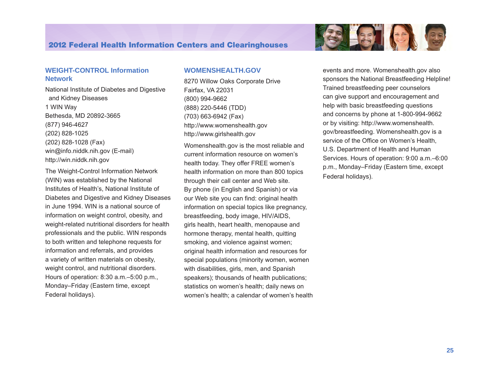#### **WEIGHT-CONTROL Information Network**

National Institute of Diabetes and Digestive and Kidney Diseases 1 WIN Way Bethesda, MD 20892-3665 (877) 946-4627 (202) 828-1025 (202) 828-1028 (Fax) [win@info.niddk.nih.gov](mailto:win@info.niddk.nih.gov) (E-mail) <http://win.niddk.nih.gov>

The Weight-Control Information Network (WIN) was established by the National Institutes of Health's, National Institute of Diabetes and Digestive and Kidney Diseases in June 1994. WIN is a national source of information on weight control, obesity, and weight-related nutritional disorders for health professionals and the public. WIN responds to both written and telephone requests for information and referrals, and provides a variety of written materials on obesity, weight control, and nutritional disorders. Hours of operation: 8:30 a.m.–5:00 p.m., Monday–Friday (Eastern time, except Federal holidays).

#### **WOMENSHEALTH.GOV**

8270 Willow Oaks Corporate Drive Fairfax, VA 22031 (800) 994-9662 (888) 220-5446 (TDD) (703) 663-6942 (Fax) <http://www.womenshealth.gov> <http://www.girlshealth.gov>

Womenshealth.gov is the most reliable and current information resource on women's health today. They offer FREE women's health information on more than 800 topics through their call center and Web site. By phone (in English and Spanish) or via our Web site you can find: original health information on special topics like pregnancy, breastfeeding, body image, HIV/AIDS, girls health, heart health, menopause and hormone therapy, mental health, quitting smoking, and violence against women; original health information and resources for special populations (minority women, women with disabilities, girls, men, and Spanish speakers); thousands of health publications; statistics on women's health; daily news on women's health; a calendar of women's health



events and more. Womenshealth.gov also sponsors the National Breastfeeding Helpline! Trained breastfeeding peer counselors can give support and encouragement and help with basic breastfeeding questions and concerns by phone at 1-800-994-9662 or by visiting: http://www.womenshealth. [gov/breastfeeding.](http://www.womenshealth.gov/breastfeeding) Womenshealth.gov is a service of the Office on Women's Health, U.S. Department of Health and Human Services. Hours of operation: 9:00 a.m.–6:00 p.m., Monday–Friday (Eastern time, except Federal holidays).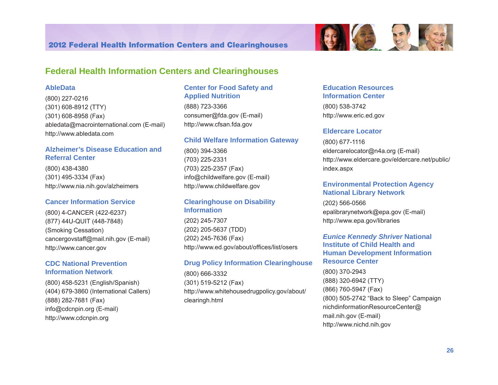

#### **AbleData**

(800) 227-0216 (301) 608-8912 (TTY) (301) 608-8958 (Fax) [abledata@macrointernational.com](mailto:abledata@macrointernational.com) (E-mail) <http://www.abledata.com>

#### **Alzheimer's Disease Education and Referral Center**

(800) 438-4380 (301) 495-3334 (Fax) <http://www.nia.nih.gov/alzheimers>

#### **Cancer Information Service**

(800) 4-CANCER (422-6237) (877) 44U-QUIT (448-7848) (Smoking Cessation) [cancergovstaff@mail.nih.gov](mailto:cancergovstaff@mail.nih.gov) (E-mail) <http://www.cancer.gov>

#### **CDC National Prevention Information Network**

(800) 458-5231 (English/Spanish) (404) 679-3860 (International Callers) (888) 282-7681 (Fax) <info@cdcnpin.org>(E-mail) <http://www.cdcnpin.org>

#### **Center for Food Safety and Applied Nutrition**

(888) 723-3366 consumer@fda.gov (E-mail) <http://www.cfsan.fda.gov>

#### **Child Welfare Information Gateway**

(800) 394-3366 (703) 225-2331 (703) 225-2357 (Fax) [info@childwelfare.gov](mailto:info@childwelfare.gov) (E-mail) <http://www.childwelfare.gov>

#### **Clearinghouse on Disability Information**

(202) 245-7307 (202) 205-5637 (TDD) (202) 245-7636 (Fax) <http://www.ed.gov/about/offices/list/osers>

#### **Drug Policy Information Clearinghouse**

(800) 666-3332 (301) 519-5212 (Fax) [http://www.whitehousedrugpolicy.gov/about/](http://www.whitehousedrugpolicy.gov/about/clearingh.html)  [clearingh.html](http://www.whitehousedrugpolicy.gov/about/clearingh.html)

#### **Education Resources Information Center**

(800) 538-3742 <http://www.eric.ed.gov>

#### **Eldercare Locator**

(800) 677-1116 [eldercarelocator@n4a.org](mailto:eldercarelocator@spherix.com) (E-mail) [http://www.eldercare.gov/eldercare.net/public/](http://www.eldercare.gov/eldercare.net/public/index.aspx) [index.aspx](http://www.eldercare.gov/eldercare.net/public/index.aspx)

#### **Environmental Protection Agency National Library Network**

(202) 566-0566 [epalibrarynetwork@epa.gov](mailto:epachemlibraries@epa.gov) (E-mail) [http://www.epa.gov/libraries](http://www.epa.gov/libraries/) 

#### *Eunice Kennedy Shriver* **National Institute of Child Health and Human Development Information Resource Center**

(800) 370-2943 (888) 320-6942 (TTY) (866) 760-5947 (Fax) (800) 505-2742 "Back to Sleep" Campaign [nichdinformationResourceCenter@](mailto:nichdinformationResourceCenter@mail.nih.gov)  [mail.nih.gov](mailto:nichdinformationResourceCenter@mail.nih.gov) (E-mail) <http://www.nichd.nih.gov>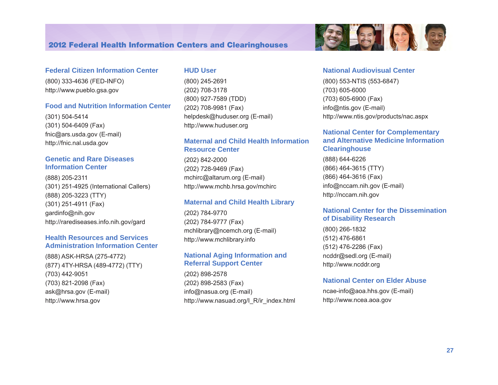#### **Federal Citizen Information Center**

(800) 333-4636 (FED-INFO) <http://www.pueblo.gsa.gov>

#### **Food and Nutrition Information Center**

(301) 504-5414 (301) 504-6409 (Fax) [fnic@ars.usda.gov](mailto:fnic@ars.usda.gov) (E-mail) <http://fnic.nal.usda.gov>

#### **Genetic and Rare Diseases Information Center**

(888) 205-2311 (301) 251-4925 (International Callers) (888) 205-3223 (TTY) (301) 251-4911 (Fax) [gardinfo@nih.gov](mailto:gardinfo@nih.gov)  <http://rarediseases.info.nih.gov/gard>

#### **Health Resources and Services Administration Information Center**

(888) ASK-HRSA (275-4772) (877) 4TY-HRSA (489-4772) (TTY) (703) 442-9051 (703) 821-2098 (Fax) [ask@hrsa.gov](mailto:ask@hrsa.gov) (E-mail) <http://www.hrsa.gov>

#### **HUD User**

(800) 245-2691 (202) 708-3178 (800) 927-7589 (TDD) (202) 708-9981 (Fax) [helpdesk@huduser.org](mailto:helpdesk@huduser.org) (E-mail) <http://www.huduser.org>

#### **Maternal and Child Health Information Resource Center**

(202) 842-2000 (202) 728-9469 (Fax) [mchirc@altarum.org](mailto:mchirc@altarum.org) (E-mail) <http://www.mchb.hrsa.gov/mchirc>

#### **Maternal and Child Health Library**

(202) 784-9770 (202) 784-9777 (Fax) [mchlibrary@ncemch.org](mailto:mchlibrary@ncemch.org) (E-mail) <http://www.mchlibrary.info>

#### **National Aging Information and Referral Support Center**

(202) 898-2578 (202) 898-2583 (Fax) [info@nasua.org](mailto:info@nasua.org) (E-mail) [http://www.nasua](http://www.nasuad.org/I_R/ir_index.html)d.org/I\_R/ir\_index.html

# **National Audiovisual Center**

 $-25$ 

(800) 553-NTIS (553-6847) (703) 605-6000 (703) 605-6900 (Fax) [info@ntis.gov](mailto:info@ntis.gov) (E-mail) <http://www.ntis.gov/products/nac.aspx>

#### **National Center for Complementary and Alternative Medicine Information Clearinghouse**

(888) 644-6226 (866) 464-3615 (TTY) (866) 464-3616 (Fax) [info@nccam.nih.gov](mailto:info@nccam.nih.gov) (E-mail) <http://nccam.nih.gov>

#### **National Center for the Dissemination of Disability Research**

(800) 266-1832 (512) 476-6861 (512) 476-2286 (Fax) [ncddr@sedl.org](mailto:ncddr@sedl.org) (E-mail) <http://www.ncddr.org>

#### **National Center on Elder Abuse**

[ncae-info@aoa.hhs.gov](mailto:ncae-info@aoa.hhs.gov) (E-mail) <http://www.ncea.aoa.gov>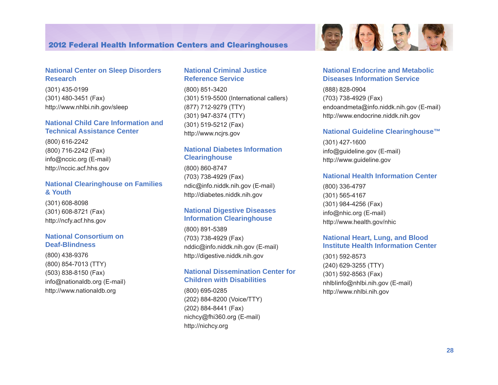#### **National Center on Sleep Disorders Research**

(301) 435-0199 (301) 480-3451 (Fax) <http://www.nhlbi.nih.gov/sleep>

#### **National Child Care Information and Technical Assistance Center**

(800) 616-2242 (800) 716-2242 (Fax) [info@nccic.org](mailto:info@nccic.org) (E-mail) <http://nccic.acf.hhs.gov>

#### **National Clearinghouse on Families & Youth**

(301) 608-8098 (301) 608-8721 (Fax) <http://ncfy.acf.hhs.gov>

#### **National Consortium on Deaf-Blindness**

(800) 438-9376 (800) 854-7013 (TTY) (503) 838-8150 (Fax) [info@nationaldb.org](mailto:info@nationaldb.org) (E-mail) <http://www.nationaldb.org>

#### **National Criminal Justice Reference Service**

(800) 851-3420 (301) 519-5500 (International callers) (877) 712-9279 (TTY) (301) 947-8374 (TTY) (301) 519-5212 (Fax) <http://www.ncjrs.gov>

#### **National Diabetes Information Clearinghouse**

(800) 860-8747 (703) 738-4929 (Fax) [ndic@info.niddk.nih.gov](mailto:ndic@info.niddk.nih.gov) (E-mail) <http://diabetes.niddk.nih.gov>

#### **National Digestive Diseases Information Clearinghouse**

(800) 891-5389 (703) 738-4929 (Fax) [nddic@info.niddk.nih.gov](mailto:nddic@info.niddk.nih.gov) (E-mail) <http://digestive.niddk.nih.gov>

#### **National Dissemination Center for Children with Disabilities**

(800) 695-0285 (202) 884-8200 (Voice/TTY) (202) 884-8441 (Fax) [nichcy@fhi360.org](mailto:nichcy@aed.org) (E-mail) [http://nichcy.org](http://www.nichcy.org) 



#### **National Endocrine and Metabolic Diseases Information Service**

(888) 828-0904 (703) 738-4929 (Fax) [endoandmeta@info.niddk.nih.gov](mailto:endoandmeta@info.niddk.nih.gov) (E-mail) <http://www.endocrine.niddk.nih.gov>

#### **National Guideline Clearinghouse™**

(301) 427-1600 [info@guideline.gov](mailto:info@guideline.gov) (E-mail) <http://www.guideline.gov>

#### **National Health Information Center**

(800) 336-4797 (301) 565-4167 (301) 984-4256 (Fax) [info@nhic.org](mailto:info@nhic.org) (E-mail) <http://www.health.gov/nhic>

#### **National Heart, Lung, and Blood Institute Health Information Center**

(301) 592-8573 (240) 629-3255 (TTY) (301) 592-8563 (Fax) [nhlbIinfo@nhlbi.nih.gov](mailto:nhlbIinfo@nhlbi.nih.gov) (E-mail) <http://www.nhlbi.nih.gov>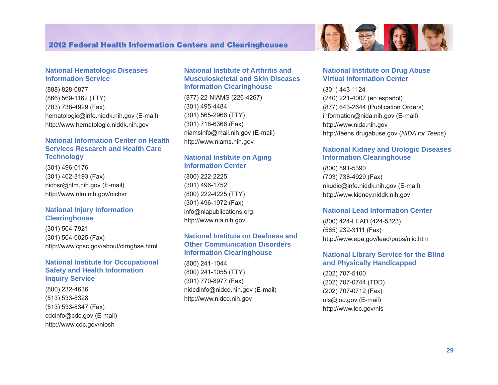

#### **National Hematologic Diseases Information Service**

(888) 828-0877 (866) 569-1162 (TTY) (703) 738-4929 (Fax) [hematologic@info.niddk.nih.gov](mailto:hematologic@info.niddk.nih.gov) (E-mail) <http://www.hematologic.niddk.nih.gov>

#### **National Information Center on Health Services Research and Health Care Technology**

(301) 496-0176 (301) 402-3193 (Fax) [nichsr@nlm.nih.gov](mailto:nichsr@nlm.nih.gov) (E-mail) <http://www.nlm.nih.gov/nichsr>

#### **National Injury Information Clearinghouse**

(301) 504-7921 (301) 504-0025 (Fax) <http://www.cpsc.gov/about/clrnghse.html>

#### **National Institute for Occupational Safety and Health Information Inquiry Service**

(800) 232-4636 (513) 533-8328 (513) 533-8347 (Fax) [cdcinfo@cdc.gov](mailto:cdcinfo@cdc.gov) (E-mail) <http://www.cdc.gov/niosh>

#### **National Institute of Arthritis and Musculoskeletal and Skin Diseases Information Clearinghouse**

(877) 22-NIAMS (226-4267) (301) 495-4484 (301) 565-2966 (TTY) (301) 718-6366 (Fax) [niamsinfo@mail.nih.gov](mailto:niamsinfo@mail.nih.gov) (E-mail) <http://www.niams.nih.gov>

### **National Institute on Aging Information Center**

(800) 222-2225 (301) 496-1752 (800) 222-4225 (TTY) (301) 496-1072 (Fax) [info@niapublications.org](mailto:info@niapublications.org) <http://www.nia.nih.gov>

#### **National Institute on Deafness and Other Communication Disorders Information Clearinghouse**

(800) 241-1044 (800) 241-1055 (TTY) (301) 770-8977 (Fax) [nidcdinfo@nidcd.nih.gov](mailto:nidcdinfo@nidcd.nih.gov) (E-mail) <http://www.nidcd.nih.gov>

#### **National Institute on Drug Abuse Virtual Information Center**

(301) 443-1124 (240) 221-4007 (en español) (877) 643-2644 (Publication Orders) information@nida.nih.gov (E-mail) http://www.nida.nih.gov http://teens.drugabuse.gov (*NIDA for Teens*)

#### **National Kidney and Urologic Diseases Information Clearinghouse**

(800) 891-5390 (703) 738-4929 (Fax) [nkudic@info.niddk.nih.gov](mailto:nkudic@info.niddk.nih.gov) (E-mail) <http://www.kidney.niddk.nih.gov>

#### **National Lead Information Center**

(800) 424-LEAD (424-5323) (585) 232-3111 (Fax) <http://www.epa.gov/lead/pubs/nlic.htm>

#### **National Library Service for the Blind and Physically Handicapped**

(202) 707-5100 (202) 707-0744 (TDD) (202) 707-0712 (Fax) [nls@loc.gov](mailto:nls@loc.gov) (E-mail) <http://www.loc.gov/nls>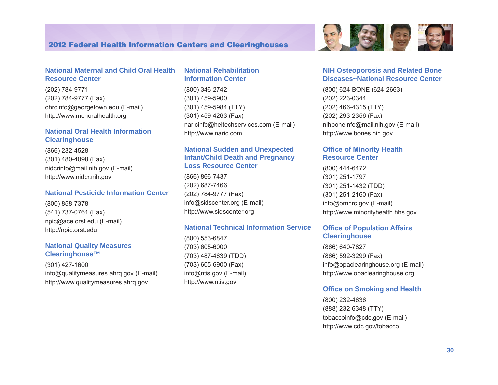#### **National Maternal and Child Oral Health Resource Center**

(202) 784-9771 (202) 784-9777 (Fax) [ohrcinfo@georgetown.edu](mailto:ohrcinfo@georgetown.edu) (E-mail) <http://www.mchoralhealth.org>

#### **National Oral Health Information Clearinghouse**

(866) 232-4528 (301) 480-4098 (Fax) [nidcrinfo@mail.nih.gov](mailto:nidcrinfo@mail.nih.gov) (E-mail) <http://www.nidcr.nih.gov>

#### **National Pesticide Information Center**

(800) 858-7378 (541) 737-0761 (Fax) [npic@ace.orst.edu](mailto:npic@ace.orst.edu) (E-mail) <http://npic.orst.edu>

#### **National Quality Measures Clearinghouse™**

(301) 427-1600 [info@qualitymeasures.ahrq.gov](mailto:info@qualitymeasures.ahrq.gov) (E-mail) <http://www.qualitymeasures.ahrq.gov>

#### **National Rehabilitation Information Center**

(800) 346-2742 (301) 459-5900 (301) 459-5984 (TTY) (301) 459-4263 (Fax) [naricinfo@heitechservices.com](mailto:naricinfo@heitechservices.com) (E-mail) <http://www.naric.com>

#### **National Sudden and Unexpected Infant/Child Death and Pregnancy Loss Resource Center**

(866) 866-7437 (202) 687-7466 (202) 784-9777 (Fax) [info@sidscenter.org](mailto:info@sidscenter.org) (E-mail) <http://www.sidscenter.org>

#### **National Technical Information Service**

(800) 553-6847 (703) 605-6000 (703) 487-4639 (TDD) (703) 605-6900 (Fax) [info@ntis.gov](mailto:info@ntis.gov) (E-mail) <http://www.ntis.gov>



#### **NIH Osteoporosis and Related Bone Diseases~National Resource Center**

(800) 624-BONE (624-2663) (202) 223-0344 (202) 466-4315 (TTY) (202) 293-2356 (Fax) [nihboneinfo@mail.nih.gov](mailto:niamsboneinfo@mail.nih.gov) (E-mail) [http://www.bones.nih.gov](http://www.niams.nih.gov/bone) 

#### **Office of Minority Health Resource Center**

(800) 444-6472 (301) 251-1797 (301) 251-1432 (TDD) (301) 251-2160 (Fax) [info@omhrc.gov](mailto:info@omhrc.gov) (E-mail) [http://www.m](http://www.omhrc.gov)inorityhealth.hhs.gov

#### **Office of Population Affairs Clearinghouse**

(866) 640-7827 (866) 592-3299 (Fax) [info@opaclearinghouse.org](mailto:info@opaclearinghouse.org) (E-mail) <http://www.opaclearinghouse.org>

#### **Office on Smoking and Health**

(800) 232-4636 (888) 232-6348 (TTY) [tobaccoinfo@cdc.gov](mailto:tobaccoinfo@cdc.gov) (E-mail) <http://www.cdc.gov/tobacco>